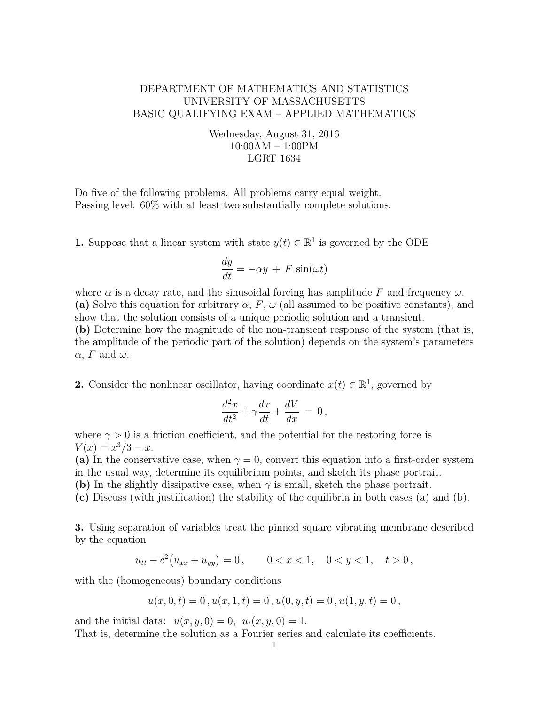## DEPARTMENT OF MATHEMATICS AND STATISTICS UNIVERSITY OF MASSACHUSETTS BASIC QUALIFYING EXAM – APPLIED MATHEMATICS

Wednesday, August 31, 2016 10:00AM – 1:00PM LGRT 1634

Do five of the following problems. All problems carry equal weight. Passing level: 60% with at least two substantially complete solutions.

**1.** Suppose that a linear system with state  $y(t) \in \mathbb{R}^1$  is governed by the ODE

$$
\frac{dy}{dt} = -\alpha y + F \sin(\omega t)
$$

where  $\alpha$  is a decay rate, and the sinusoidal forcing has amplitude F and frequency  $\omega$ . (a) Solve this equation for arbitrary  $\alpha$ , F,  $\omega$  (all assumed to be positive constants), and show that the solution consists of a unique periodic solution and a transient.

(b) Determine how the magnitude of the non-transient response of the system (that is, the amplitude of the periodic part of the solution) depends on the system's parameters  $\alpha$ , F and  $\omega$ .

2. Consider the nonlinear oscillator, having coordinate  $x(t) \in \mathbb{R}^1$ , governed by

$$
\frac{d^2x}{dt^2} + \gamma \frac{dx}{dt} + \frac{dV}{dx} = 0,
$$

where  $\gamma > 0$  is a friction coefficient, and the potential for the restoring force is  $V(x) = x^3/3 - x.$ 

(a) In the conservative case, when  $\gamma = 0$ , convert this equation into a first-order system in the usual way, determine its equilibrium points, and sketch its phase portrait.

(b) In the slightly dissipative case, when  $\gamma$  is small, sketch the phase portrait.

(c) Discuss (with justification) the stability of the equilibria in both cases (a) and (b).

3. Using separation of variables treat the pinned square vibrating membrane described by the equation

$$
u_{tt} - c^2 (u_{xx} + u_{yy}) = 0, \qquad 0 < x < 1, \quad 0 < y < 1, \quad t > 0,
$$

with the (homogeneous) boundary conditions

$$
u(x,0,t) = 0, u(x,1,t) = 0, u(0,y,t) = 0, u(1,y,t) = 0,
$$

and the initial data:  $u(x, y, 0) = 0$ ,  $u_t(x, y, 0) = 1$ .

That is, determine the solution as a Fourier series and calculate its coefficients.